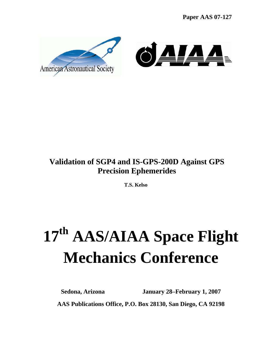**Paper AAS 07-127**



# **Validation of SGP4 and IS-GPS-200D Against GPS Precision Ephemerides**

**T.S. Kelso** 

# **17th AAS/AIAA Space Flight Mechanics Conference**

**Sedona, Arizona January 28–February 1, 2007 AAS Publications Office, P.O. Box 28130, San Diego, CA 92198**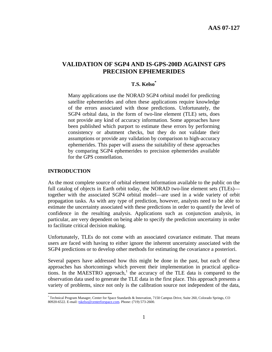## **VALIDATION OF SGP4 AND IS-GPS-200D AGAINST GPS PRECISION EPHEMERIDES**

## **T.S. Kelso\***

Many applications use the NORAD SGP4 orbital model for predicting satellite ephemerides and often these applications require knowledge of the errors associated with those predictions. Unfortunately, the SGP4 orbital data, in the form of two-line element (TLE) sets, does not provide any kind of accuracy information. Some approaches have been published which purport to estimate these errors by performing consistency or abutment checks, but they do not validate their assumptions or provide any validation by comparison to high-accuracy ephemerides. This paper will assess the suitability of these approaches by comparing SGP4 ephemerides to precision ephemerides available for the GPS constellation.

#### **INTRODUCTION**

 $\overline{a}$ 

As the most complete source of orbital element information available to the public on the full catalog of objects in Earth orbit today, the NORAD two-line element sets (TLEs) together with the associated SGP4 orbital model—are used in a wide variety of orbit propagation tasks. As with any type of prediction, however, analysts need to be able to estimate the uncertainty associated with these predictions in order to quantify the level of confidence in the resulting analysis. Applications such as conjunction analysis, in particular, are very dependent on being able to specify the prediction uncertainty in order to facilitate critical decision making.

Unfortunately, TLEs do not come with an associated covariance estimate. That means users are faced with having to either ignore the inherent uncertainty associated with the SGP4 predictions or to develop other methods for estimating the covariance a posteriori.

Several papers have addressed how this might be done in the past, but each of these approaches has shortcomings which prevent their implementation in practical applications. In the MAESTRO approach,<sup>1</sup> the accuracy of the TLE data is compared to the observation data used to generate the TLE data in the first place. This approach presents a variety of problems, since not only is the calibration source not independent of the data,

<sup>\*</sup> Technical Program Manager, Center for Space Standards & Innovation, 7150 Campus Drive, Suite 260, Colorado Springs, CO 80920-6522. E-mail: tskelso@centerforspace.com. Phone: (719) 573-2600.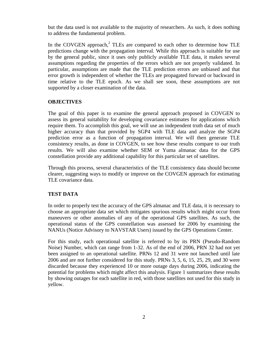but the data used is not available to the majority of researchers. As such, it does nothing to address the fundamental problem.

In the COVGEN approach,<sup>2</sup> TLEs are compared to each other to determine how TLE predictions change with the propagation interval. While this approach is suitable for use by the general public, since it uses only publicly available TLE data, it makes several assumptions regarding the properties of the errors which are not properly validated. In particular, assumptions are made that the TLE prediction errors are unbiased and that error growth is independent of whether the TLEs are propagated forward or backward in time relative to the TLE epoch. As we shall see soon, these assumptions are not supported by a closer examination of the data.

#### **OBJECTIVES**

The goal of this paper is to examine the general approach proposed in COVGEN to assess its general suitability for developing covariance estimates for applications which require them. To accomplish this goal, we will use an independent truth data set of much higher accuracy than that provided by SGP4 with TLE data and analyze the SGP4 prediction error as a function of propagation interval. We will then generate TLE consistency results, as done in COVGEN, to see how these results compare to our truth results. We will also examine whether SEM or Yuma almanac data for the GPS constellation provide any additional capability for this particular set of satellites.

Through this process, several characteristics of the TLE consistency data should become clearer, suggesting ways to modify or improve on the COVGEN approach for estimating TLE covariance data.

#### **TEST DATA**

In order to properly test the accuracy of the GPS almanac and TLE data, it is necessary to choose an appropriate data set which mitigates spurious results which might occur from maneuvers or other anomalies of any of the operational GPS satellites. As such, the operational status of the GPS constellation was assessed for 2006 by examining the NANUs (Notice Advisory to NAVSTAR Users) issued by the GPS Operations Center.

For this study, each operational satellite is referred to by its PRN (Pseudo-Random Noise) Number, which can range from 1-32. As of the end of 2006, PRN 32 had not yet been assigned to an operational satellite. PRNs 12 and 31 were not launched until late 2006 and are not further considered for this study. PRNs 3, 5, 6, 15, 25, 29, and 30 were discarded because they experienced 10 or more outage days during 2006, indicating the potential for problems which might affect this analysis. Figure 1 summarizes these results by showing outages for each satellite in red, with those satellites not used for this study in yellow.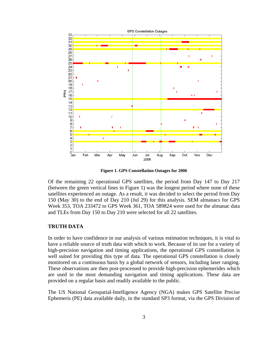

**Figure 1. GPS Constellation Outages for 2006** 

Of the remaining 22 operational GPS satellites, the period from Day 147 to Day 217 (between the green vertical lines in Figure 1) was the longest period where none of these satellites experienced an outage. As a result, it was decided to select the period from Day 150 (May 30) to the end of Day 210 (Jul 29) for this analysis. SEM almanacs for GPS Week 353, TOA 233472 to GPS Week 361, TOA 589824 were used for the almanac data and TLEs from Day 150 to Day 210 were selected for all 22 satellites.

#### **TRUTH DATA**

In order to have confidence in our analysis of various estimation techniques, it is vital to have a reliable source of truth data with which to work. Because of its use for a variety of high-precision navigation and timing applications, the operational GPS constellation is well suited for providing this type of data. The operational GPS constellation is closely monitored on a continuous basis by a global network of sensors, including laser ranging. These observations are then post-processed to provide high-precision ephemerides which are used in the most demanding navigation and timing applications. These data are provided on a regular basis and readily available to the public.

The US National Geospatial-Intelligence Agency (NGA) makes GPS Satellite Precise Ephemeris (PE) data available daily, in the standard SP3 format, via the GPS Division of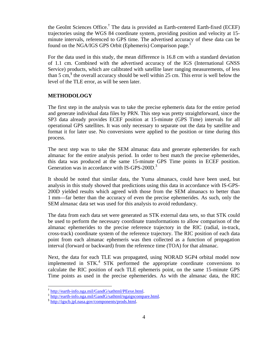the GeoInt Sciences Office.† The data is provided as Earth-centered Earth-fixed (ECEF) trajectories using the WGS 84 coordinate system, providing position and velocity at 15 minute intervals, referenced to GPS time. The advertised accuracy of these data can be found on the NGA/IGS GPS Orbit (Ephemeris) Comparison page.<sup>†</sup>

For the data used in this study, the mean difference is 16.8 cm with a standard deviation of 1.1 cm. Combined with the advertised accuracy of the IGS (International GNSS Service) products, which are calibrated with satellite laser ranging measurements, of less than 5 cm,  $\sin^8$  the overall accuracy should be well within 25 cm. This error is well below the level of the TLE error, as will be seen later.

#### **METHODOLOGY**

The first step in the analysis was to take the precise ephemeris data for the entire period and generate individual data files by PRN. This step was pretty straightforward, since the SP3 data already provides ECEF position at 15-minute (GPS Time) intervals for all operational GPS satellites. It was only necessary to separate out the data by satellite and format it for later use. No conversions were applied to the position or time during this process.

The next step was to take the SEM almanac data and generate ephemerides for each almanac for the entire analysis period. In order to best match the precise ephemerides, this data was produced at the same 15-minute GPS Time points in ECEF position. Generation was in accordance with IS-GPS-200D.<sup>3</sup>

It should be noted that similar data, the Yuma almanacs, could have been used, but analysis in this study showed that predictions using this data in accordance with IS-GPS-200D yielded results which agreed with those from the SEM almanacs to better than 1 mm—far better than the accuracy of even the precise ephemerides. As such, only the SEM almanac data set was used for this analysis to avoid redundancy.

The data from each data set were generated as STK external data sets, so that STK could be used to perform the necessary coordinate transformations to allow comparison of the almanac ephemerides to the precise reference trajectory in the RIC (radial, in-track, cross-track) coordinate system of the reference trajectory. The RIC position of each data point from each almanac ephemeris was then collected as a function of propagation interval (forward or backward) from the reference time (TOA) for that almanac.

Next, the data for each TLE was propagated, using NORAD SGP4 orbital model now implemented in STK.<sup>4</sup> STK performed the appropriate coordinate conversions to calculate the RIC position of each TLE ephemeris point, on the same 15-minute GPS Time points as used in the precise ephemerides. As with the almanac data, the RIC

 $\overline{a}$ 

<sup>†</sup> http://earth-info.nga.mil/GandG/sathtml/PEexe.html.<br>‡ http://earth-info.nga.mil/GandG/sathtml/ngaigscompare.html.<br>§ http://igscb.jpl.nasa.gov/components/prods.html.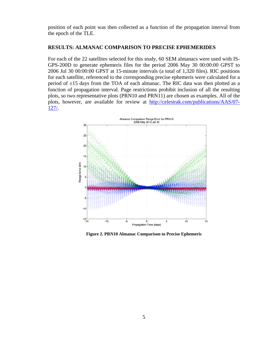position of each point was then collected as a function of the propagation interval from the epoch of the TLE.

#### **RESULTS: ALMANAC COMPARISON TO PRECISE EPHEMERIDES**

For each of the 22 satellites selected for this study, 60 SEM almanacs were used with IS-GPS-200D to generate ephemeris files for the period 2006 May 30 00:00:00 GPST to 2006 Jul 30 00:00:00 GPST at 15-minute intervals (a total of 1,320 files). RIC positions for each satellite, referenced to the corresponding precise ephemeris were calculated for a period of  $\pm 15$  days from the TOA of each almanac. The RIC data was then plotted as a function of propagation interval. Page restrictions prohibit inclusion of all the resulting plots, so two representative plots (PRN10 and PRN11) are chosen as examples. All of the plots, however, are available for review at http://celestrak.com/publications/AAS/07- 127/.



**Figure 2. PRN10 Almanac Comparison to Precise Ephemeris**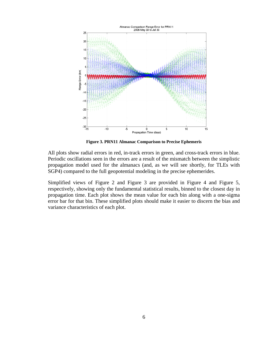

**Figure 3. PRN11 Almanac Comparison to Precise Ephemeris** 

All plots show radial errors in red, in-track errors in green, and cross-track errors in blue. Periodic oscillations seen in the errors are a result of the mismatch between the simplistic propagation model used for the almanacs (and, as we will see shortly, for TLEs with SGP4) compared to the full geopotential modeling in the precise ephemerides.

Simplified views of Figure 2 and Figure 3 are provided in Figure 4 and Figure 5, respectively, showing only the fundamental statistical results, binned to the closest day in propagation time. Each plot shows the mean value for each bin along with a one-sigma error bar for that bin. These simplified plots should make it easier to discern the bias and variance characteristics of each plot.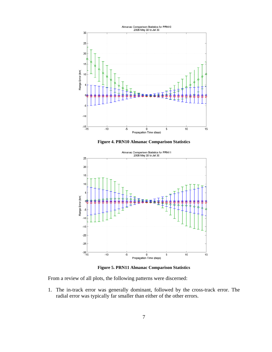

**Figure 4. PRN10 Almanac Comparison Statistics** 



**Figure 5. PRN11 Almanac Comparison Statistics** 

From a review of all plots, the following patterns were discerned:

1. The in-track error was generally dominant, followed by the cross-track error. The radial error was typically far smaller than either of the other errors.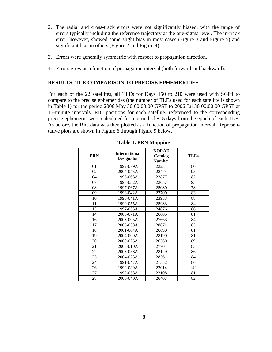- 2. The radial and cross-track errors were not significantly biased, with the range of errors typically including the reference trajectory at the one-sigma level. The in-track error, however, showed some slight bias in most cases (Figure 3 and Figure 5) and significant bias in others (Figure 2 and Figure 4).
- 3. Errors were generally symmetric with respect to propagation direction.
- 4. Errors grow as a function of propagation interval (both forward and backward).

#### **RESULTS: TLE COMPARISON TO PRECISE EPHEMERIDES**

For each of the 22 satellites, all TLEs for Days 150 to 210 were used with SGP4 to compare to the precise ephemerides (the number of TLEs used for each satellite is shown in Table 1) for the period 2006 May 30 00:00:00 GPST to 2006 Jul 30 00:00:00 GPST at 15-minute intervals. RIC positions for each satellite, referenced to the corresponding precise ephemeris, were calculated for a period of  $\pm 15$  days from the epoch of each TLE. As before, the RIC data was then plotted as a function of propagation interval. Representative plots are shown in Figure 6 through Figure 9 below.

| <b>PRN</b> | <b>International</b><br><b>Designator</b> | <b>NORAD</b><br>Catalog<br><b>Number</b> | <b>TLEs</b> |
|------------|-------------------------------------------|------------------------------------------|-------------|
| 01         | 1992-079A                                 | 22231                                    | 80          |
| 02         | 2004-045A                                 | 28474                                    | 95          |
| 04         | 1993-068A                                 | 22877                                    | 82          |
| 07         | 1993-032A                                 | 22657                                    | 93          |
| 08         | 1997-067A                                 | 25030                                    | 78          |
| 09         | 1993-042A                                 | 22700                                    | 83          |
| 10         | 1996-041A                                 | 23953                                    | 88          |
| 11         | 1999-055A                                 | 25933                                    | 84          |
| 13         | 1997-035A                                 | 24876                                    | 86          |
| 14         | 2000-071A                                 | 26605                                    | 81          |
| 16         | 2003-005A                                 | 27663                                    | 84          |
| 17         | 2005-038A                                 | 28874                                    | 83          |
| 18         | 2001-004A                                 | 26690                                    | 81          |
| 19         | 2004-009A                                 | 28190                                    | 81          |
| 20         | 2000-025A                                 | 26360                                    | 89          |
| 21         | 2003-010A                                 | 27704                                    | 83          |
| 22         | 2003-058A                                 | 28129                                    | 86          |
| 23         | 2004-023A                                 | 28361                                    | 84          |
| 24         | 1991-047A                                 | 21552                                    | 86          |
| 26         | 1992-039A                                 | 22014                                    | 149         |
| 27         | 1992-058A                                 | 22108                                    | 81          |
| 28         | 2000-040A                                 | 26407                                    | 82          |

#### **Table 1. PRN Mapping**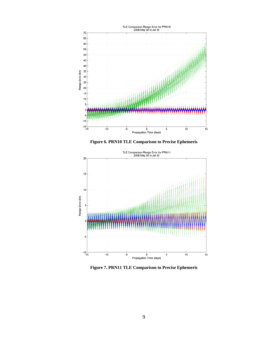

**Figure 6. PRN10 TLE Comparison to Precise Ephemeris** 



**Figure 7. PRN11 TLE Comparison to Precise Ephemeris**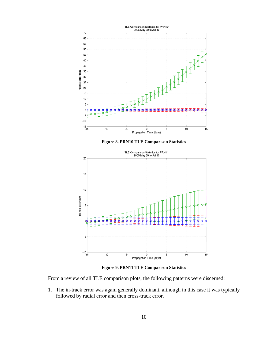





**Figure 9. PRN11 TLE Comparison Statistics** 

From a review of all TLE comparison plots, the following patterns were discerned:

1. The in-track error was again generally dominant, although in this case it was typically followed by radial error and then cross-track error.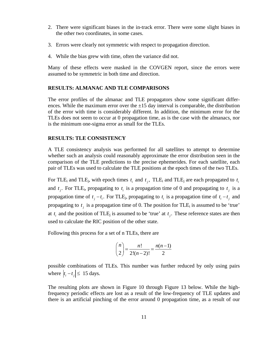- 2. There were significant biases in the in-track error. There were some slight biases in the other two coordinates, in some cases.
- 3. Errors were clearly not symmetric with respect to propagation direction.
- 4. While the bias grew with time, often the variance did not.

Many of these effects were masked in the COVGEN report, since the errors were assumed to be symmetric in both time and direction.

#### **RESULTS: ALMANAC AND TLE COMPARISONS**

The error profiles of the almanac and TLE propagators show some significant differences. While the maximum error over the  $\pm 15$  day interval is comparable, the distribution of the error with time is considerably different. In addition, the minimum error for the TLEs does not seem to occur at 0 propagation time, as is the case with the almanacs, nor is the minimum one-sigma error as small for the TLEs.

#### **RESULTS: TLE CONSISTENCY**

A TLE consistency analysis was performed for all satellites to attempt to determine whether such an analysis could reasonably approximate the error distribution seen in the comparison of the TLE predictions to the precise ephemerides. For each satellite, each pair of TLEs was used to calculate the TLE positions at the epoch times of the two TLEs.

For TLE<sub>i</sub> and TLE<sub>j</sub>, with epoch times  $t_i$  and  $t_j$ , TLE<sub>i</sub> and TLE<sub>j</sub> are each propagated to  $t_i$ and  $t_j$ . For TLE<sub>i</sub>, propagating to  $t_i$  is a propagation time of 0 and propagating to  $t_j$  is a propagation time of  $t_j - t_i$ . For TLE<sub>j</sub>, propagating to  $t_i$  is a propagation time of  $t_i - t_j$  and propagating to  $t_i$  is a propagation time of 0. The position for TLE<sub>i</sub> is assumed to be 'true' at  $t_i$  and the position of TLE<sub>j</sub> is assumed to be 'true' at  $t_j$ . These reference states are then used to calculate the RIC position of the other state.

Following this process for a set of n TLEs, there are

$$
\binom{n}{2} = \frac{n!}{2!(n-2)!} = \frac{n(n-1)}{2}
$$

possible combinations of TLEs. This number was further reduced by only using pairs where  $|t_i - t_j| \leq 15$  days.

The resulting plots are shown in Figure 10 through Figure 13 below. While the highfrequency periodic effects are lost as a result of the low-frequency of TLE updates and there is an artificial pinching of the error around 0 propagation time, as a result of our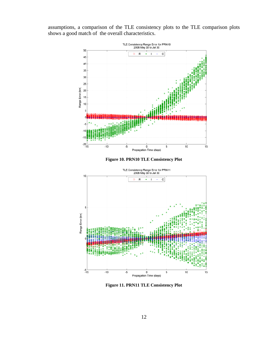assumptions, a comparison of the TLE consistency plots to the TLE comparison plots shows a good match of the overall characteristics.







**Figure 11. PRN11 TLE Consistency Plot**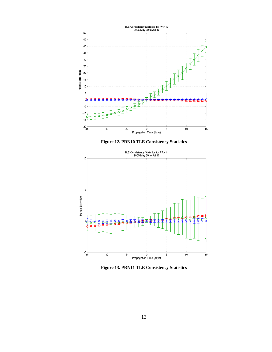





**Figure 13. PRN11 TLE Consistency Statistics**